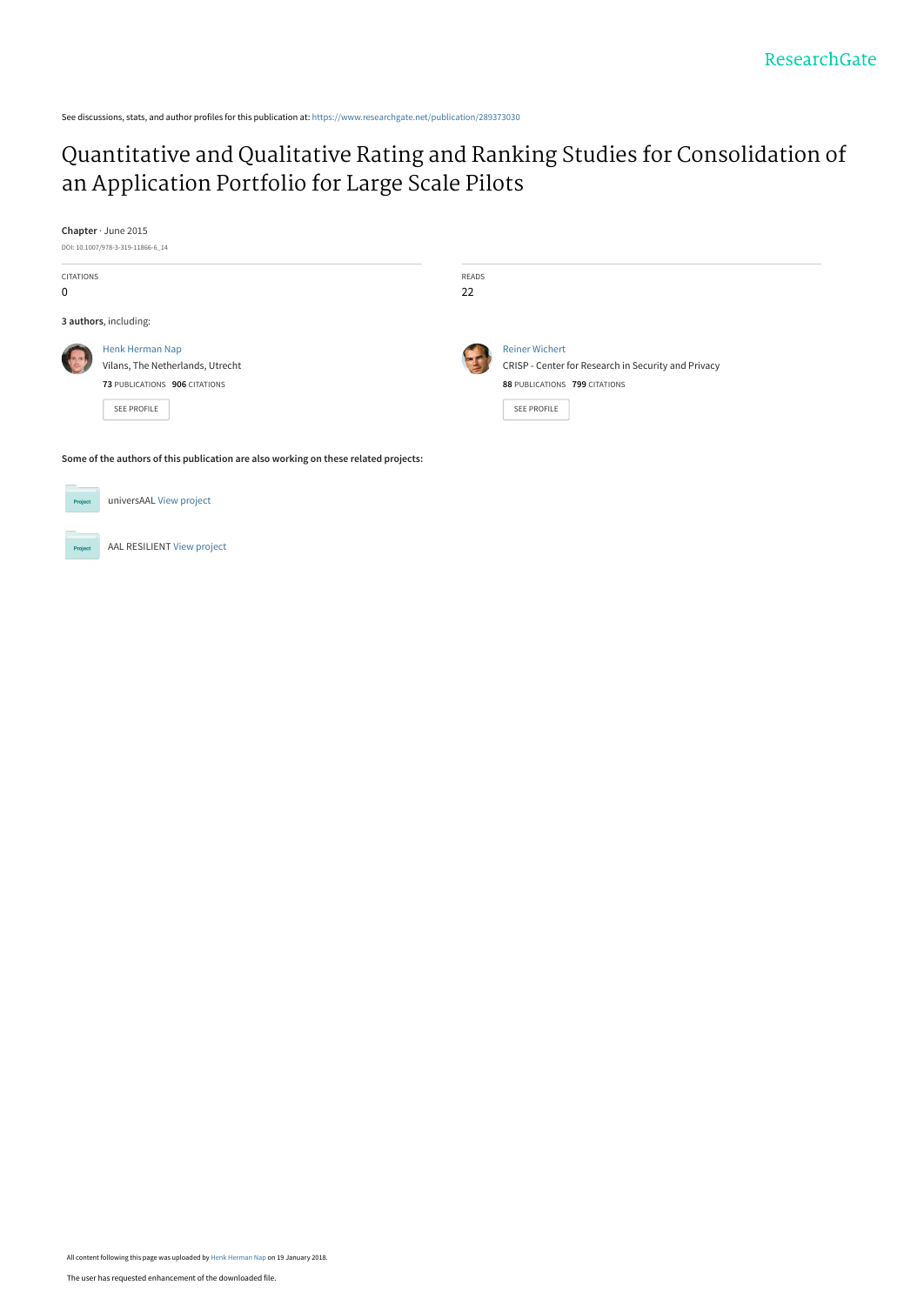See discussions, stats, and author profiles for this publication at: [https://www.researchgate.net/publication/289373030](https://www.researchgate.net/publication/289373030_Quantitative_and_Qualitative_Rating_and_Ranking_Studies_for_Consolidation_of_an_Application_Portfolio_for_Large_Scale_Pilots?enrichId=rgreq-f3fed56c5457ae72b9fa75b7864f9080-XXX&enrichSource=Y292ZXJQYWdlOzI4OTM3MzAzMDtBUzo1ODQ0MTk0NTQ3NzUyOTZAMTUxNjM0Nzg2NDI4Mw%3D%3D&el=1_x_2&_esc=publicationCoverPdf)

# [Quantitative and Qualitative Rating and Ranking Studies for Consolidation of](https://www.researchgate.net/publication/289373030_Quantitative_and_Qualitative_Rating_and_Ranking_Studies_for_Consolidation_of_an_Application_Portfolio_for_Large_Scale_Pilots?enrichId=rgreq-f3fed56c5457ae72b9fa75b7864f9080-XXX&enrichSource=Y292ZXJQYWdlOzI4OTM3MzAzMDtBUzo1ODQ0MTk0NTQ3NzUyOTZAMTUxNjM0Nzg2NDI4Mw%3D%3D&el=1_x_3&_esc=publicationCoverPdf) an Application Portfolio for Large Scale Pilots

**Chapter** · June 2015





All content following this page was uploaded by [Henk Herman Nap](https://www.researchgate.net/profile/Henk-Herman-Nap?enrichId=rgreq-f3fed56c5457ae72b9fa75b7864f9080-XXX&enrichSource=Y292ZXJQYWdlOzI4OTM3MzAzMDtBUzo1ODQ0MTk0NTQ3NzUyOTZAMTUxNjM0Nzg2NDI4Mw%3D%3D&el=1_x_10&_esc=publicationCoverPdf) on 19 January 2018.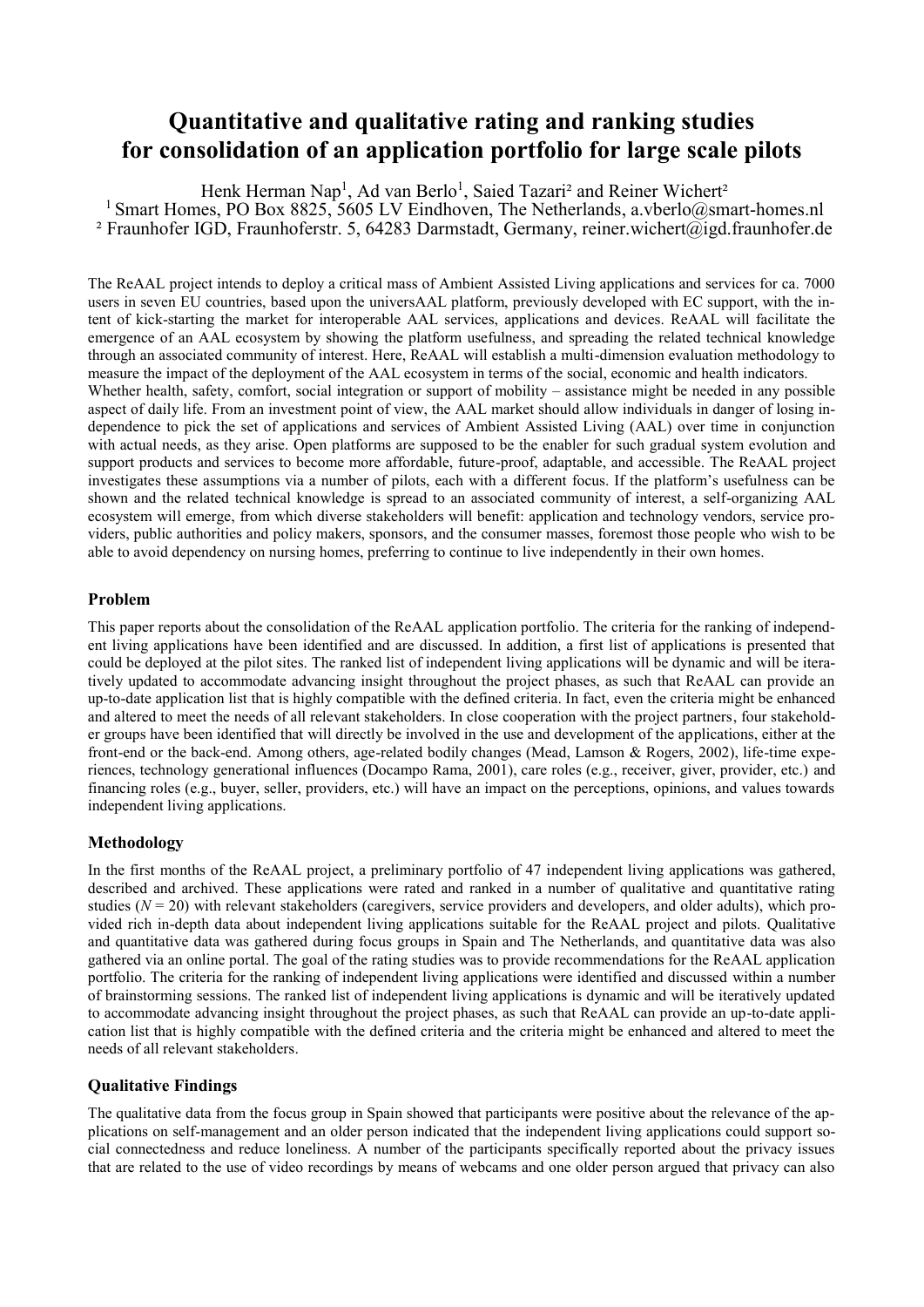## **Quantitative and qualitative rating and ranking studies for consolidation of an application portfolio for large scale pilots**

Henk Herman Nap<sup>1</sup>, Ad van Berlo<sup>1</sup>, Saied Tazari<sup>2</sup> and Reiner Wichert<sup>2</sup> <sup>1</sup> Smart Homes, PO Box 8825, 5605 LV Eindhoven, The Netherlands, a.vberlo@smart-homes.nl <sup>2</sup> Fraunhofer IGD, Fraunhoferstr. 5, 64283 Darmstadt, Germany, reiner.wichert@igd.fraunhofer.de

The ReAAL project intends to deploy a critical mass of Ambient Assisted Living applications and services for ca. 7000 users in seven EU countries, based upon the universAAL platform, previously developed with EC support, with the intent of kick-starting the market for interoperable AAL services, applications and devices. ReAAL will facilitate the emergence of an AAL ecosystem by showing the platform usefulness, and spreading the related technical knowledge through an associated community of interest. Here, ReAAL will establish a multi-dimension evaluation methodology to measure the impact of the deployment of the AAL ecosystem in terms of the social, economic and health indicators. Whether health, safety, comfort, social integration or support of mobility – assistance might be needed in any possible aspect of daily life. From an investment point of view, the AAL market should allow individuals in danger of losing independence to pick the set of applications and services of Ambient Assisted Living (AAL) over time in conjunction with actual needs, as they arise. Open platforms are supposed to be the enabler for such gradual system evolution and support products and services to become more affordable, future-proof, adaptable, and accessible. The ReAAL project investigates these assumptions via a number of pilots, each with a different focus. If the platform's usefulness can be shown and the related technical knowledge is spread to an associated community of interest, a self-organizing AAL ecosystem will emerge, from which diverse stakeholders will benefit: application and technology vendors, service providers, public authorities and policy makers, sponsors, and the consumer masses, foremost those people who wish to be able to avoid dependency on nursing homes, preferring to continue to live independently in their own homes.

## **Problem**

This paper reports about the consolidation of the ReAAL application portfolio. The criteria for the ranking of independent living applications have been identified and are discussed. In addition, a first list of applications is presented that could be deployed at the pilot sites. The ranked list of independent living applications will be dynamic and will be iteratively updated to accommodate advancing insight throughout the project phases, as such that ReAAL can provide an up-to-date application list that is highly compatible with the defined criteria. In fact, even the criteria might be enhanced and altered to meet the needs of all relevant stakeholders. In close cooperation with the project partners, four stakeholder groups have been identified that will directly be involved in the use and development of the applications, either at the front-end or the back-end. Among others, age-related bodily changes (Mead, Lamson & Rogers, 2002), life-time experiences, technology generational influences (Docampo Rama, 2001), care roles (e.g., receiver, giver, provider, etc.) and financing roles (e.g., buyer, seller, providers, etc.) will have an impact on the perceptions, opinions, and values towards independent living applications.

### **Methodology**

In the first months of the ReAAL project, a preliminary portfolio of 47 independent living applications was gathered, described and archived. These applications were rated and ranked in a number of qualitative and quantitative rating studies  $(N = 20)$  with relevant stakeholders (caregivers, service providers and developers, and older adults), which provided rich in-depth data about independent living applications suitable for the ReAAL project and pilots. Qualitative and quantitative data was gathered during focus groups in Spain and The Netherlands, and quantitative data was also gathered via an online portal. The goal of the rating studies was to provide recommendations for the ReAAL application portfolio. The criteria for the ranking of independent living applications were identified and discussed within a number of brainstorming sessions. The ranked list of independent living applications is dynamic and will be iteratively updated to accommodate advancing insight throughout the project phases, as such that ReAAL can provide an up-to-date application list that is highly compatible with the defined criteria and the criteria might be enhanced and altered to meet the needs of all relevant stakeholders.

## **Qualitative Findings**

The qualitative data from the focus group in Spain showed that participants were positive about the relevance of the applications on self-management and an older person indicated that the independent living applications could support social connectedness and reduce loneliness. A number of the participants specifically reported about the privacy issues that are related to the use of video recordings by means of webcams and one older person argued that privacy can also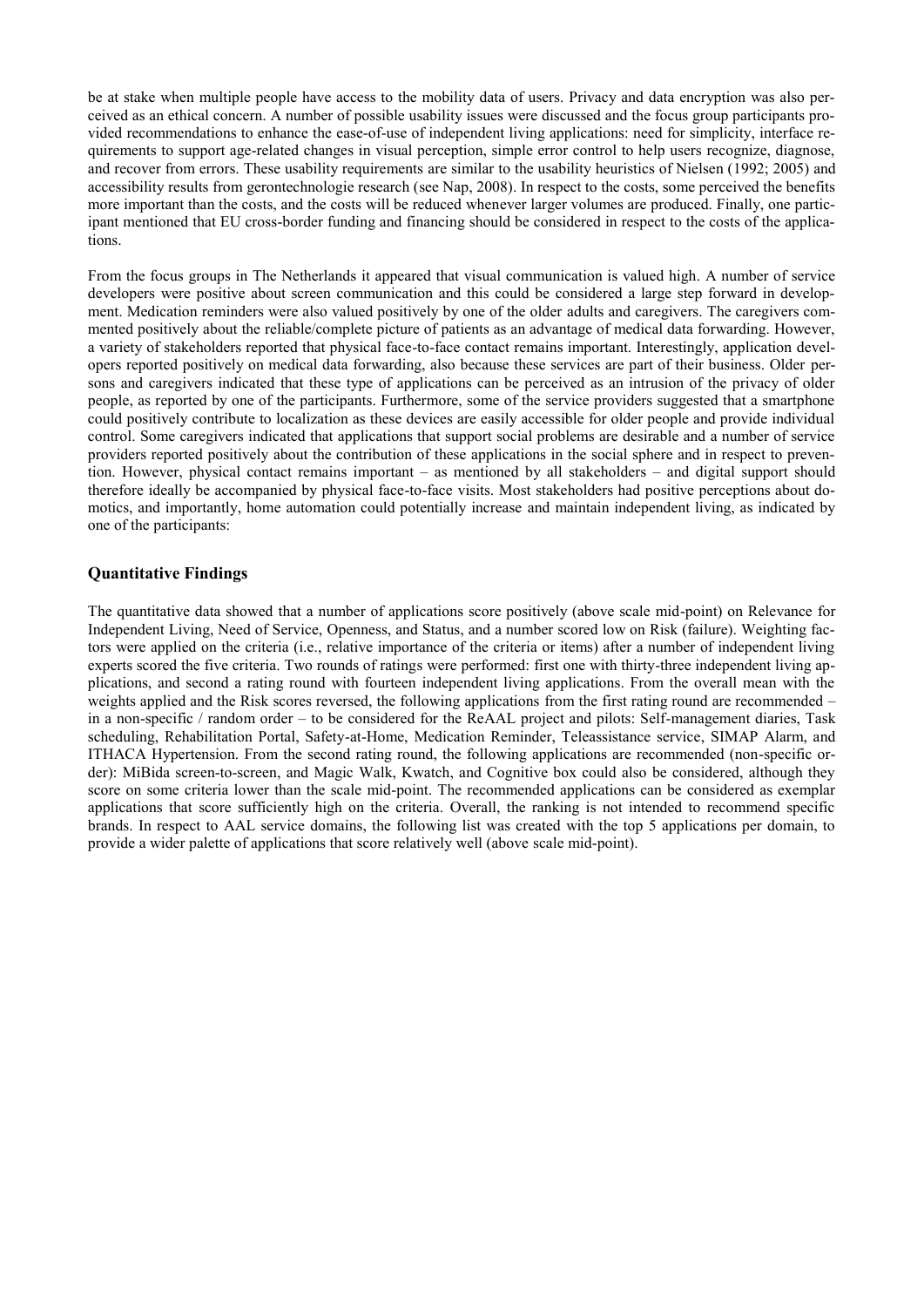be at stake when multiple people have access to the mobility data of users. Privacy and data encryption was also perceived as an ethical concern. A number of possible usability issues were discussed and the focus group participants provided recommendations to enhance the ease-of-use of independent living applications: need for simplicity, interface requirements to support age-related changes in visual perception, simple error control to help users recognize, diagnose, and recover from errors. These usability requirements are similar to the usability heuristics of Nielsen (1992; 2005) and accessibility results from gerontechnologie research (see Nap, 2008). In respect to the costs, some perceived the benefits more important than the costs, and the costs will be reduced whenever larger volumes are produced. Finally, one participant mentioned that EU cross-border funding and financing should be considered in respect to the costs of the applications.

From the focus groups in The Netherlands it appeared that visual communication is valued high. A number of service developers were positive about screen communication and this could be considered a large step forward in development. Medication reminders were also valued positively by one of the older adults and caregivers. The caregivers commented positively about the reliable/complete picture of patients as an advantage of medical data forwarding. However, a variety of stakeholders reported that physical face-to-face contact remains important. Interestingly, application developers reported positively on medical data forwarding, also because these services are part of their business. Older persons and caregivers indicated that these type of applications can be perceived as an intrusion of the privacy of older people, as reported by one of the participants. Furthermore, some of the service providers suggested that a smartphone could positively contribute to localization as these devices are easily accessible for older people and provide individual control. Some caregivers indicated that applications that support social problems are desirable and a number of service providers reported positively about the contribution of these applications in the social sphere and in respect to prevention. However, physical contact remains important – as mentioned by all stakeholders – and digital support should therefore ideally be accompanied by physical face-to-face visits. Most stakeholders had positive perceptions about domotics, and importantly, home automation could potentially increase and maintain independent living, as indicated by one of the participants:

## **Quantitative Findings**

The quantitative data showed that a number of applications score positively (above scale mid-point) on Relevance for Independent Living, Need of Service, Openness, and Status, and a number scored low on Risk (failure). Weighting factors were applied on the criteria (i.e., relative importance of the criteria or items) after a number of independent living experts scored the five criteria. Two rounds of ratings were performed: first one with thirty-three independent living applications, and second a rating round with fourteen independent living applications. From the overall mean with the weights applied and the Risk scores reversed, the following applications from the first rating round are recommended – in a non-specific / random order – to be considered for the ReAAL project and pilots: Self-management diaries, Task scheduling, Rehabilitation Portal, Safety-at-Home, Medication Reminder, Teleassistance service, SIMAP Alarm, and ITHACA Hypertension. From the second rating round, the following applications are recommended (non-specific order): MiBida screen-to-screen, and Magic Walk, Kwatch, and Cognitive box could also be considered, although they score on some criteria lower than the scale mid-point. The recommended applications can be considered as exemplar applications that score sufficiently high on the criteria. Overall, the ranking is not intended to recommend specific brands. In respect to AAL service domains, the following list was created with the top 5 applications per domain, to provide a wider palette of applications that score relatively well (above scale mid-point).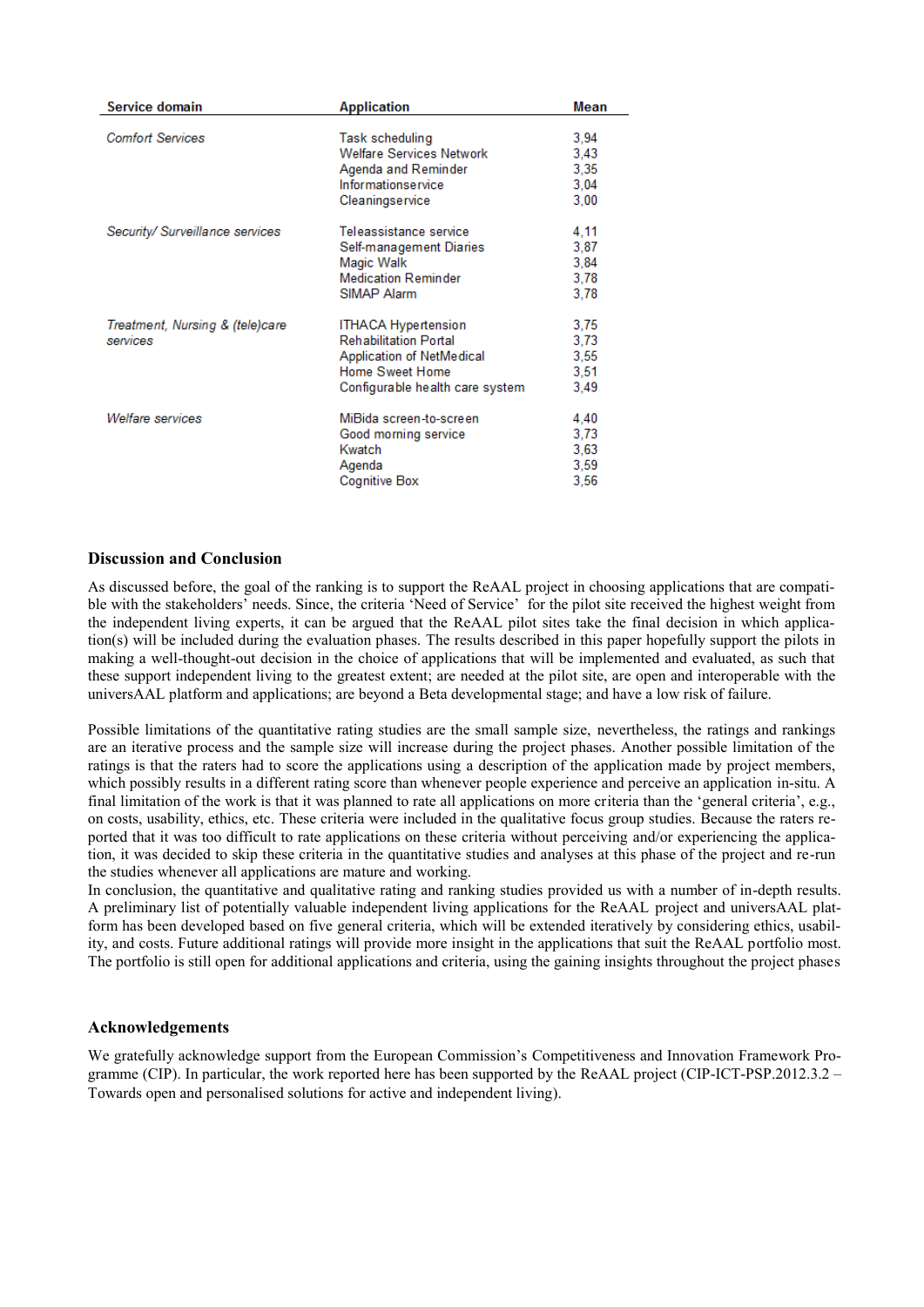| Service domain                              | <b>Application</b>                                                                                                                                   | Mean                                 |
|---------------------------------------------|------------------------------------------------------------------------------------------------------------------------------------------------------|--------------------------------------|
| <b>Comfort Services</b>                     | Task scheduling<br><b>Welfare Services Network</b><br>Agenda and Reminder<br>Informationservice<br>Cleaningservice                                   | 3,94<br>3.43<br>3.35<br>3,04<br>3.00 |
| Security/ Surveillance services             | Teleassistance service<br>Self-management Diaries<br>Magic Walk<br><b>Medication Reminder</b><br>SIMAP Alarm                                         | 4,11<br>3,87<br>3,84<br>3.78<br>3.78 |
| Treatment, Nursing & (tele)care<br>services | <b>ITHACA Hypertension</b><br><b>Rehabilitation Portal</b><br>Application of NetMedical<br><b>Home Sweet Home</b><br>Configurable health care system | 3,75<br>3,73<br>3.55<br>3,51<br>3,49 |
| <b>Welfare services</b>                     | MiBida screen-to-screen<br>Good morning service<br>Kwatch<br>Agenda<br><b>Cognitive Box</b>                                                          | 4,40<br>3,73<br>3,63<br>3.59<br>3,56 |

### **Discussion and Conclusion**

As discussed before, the goal of the ranking is to support the ReAAL project in choosing applications that are compatible with the stakeholders' needs. Since, the criteria 'Need of Service' for the pilot site received the highest weight from the independent living experts, it can be argued that the ReAAL pilot sites take the final decision in which application(s) will be included during the evaluation phases. The results described in this paper hopefully support the pilots in making a well-thought-out decision in the choice of applications that will be implemented and evaluated, as such that these support independent living to the greatest extent; are needed at the pilot site, are open and interoperable with the universAAL platform and applications; are beyond a Beta developmental stage; and have a low risk of failure.

Possible limitations of the quantitative rating studies are the small sample size, nevertheless, the ratings and rankings are an iterative process and the sample size will increase during the project phases. Another possible limitation of the ratings is that the raters had to score the applications using a description of the application made by project members, which possibly results in a different rating score than whenever people experience and perceive an application in-situ. A final limitation of the work is that it was planned to rate all applications on more criteria than the 'general criteria', e.g., on costs, usability, ethics, etc. These criteria were included in the qualitative focus group studies. Because the raters reported that it was too difficult to rate applications on these criteria without perceiving and/or experiencing the application, it was decided to skip these criteria in the quantitative studies and analyses at this phase of the project and re-run the studies whenever all applications are mature and working.

In conclusion, the quantitative and qualitative rating and ranking studies provided us with a number of in-depth results. A preliminary list of potentially valuable independent living applications for the ReAAL project and universAAL platform has been developed based on five general criteria, which will be extended iteratively by considering ethics, usability, and costs. Future additional ratings will provide more insight in the applications that suit the ReAAL portfolio most. The portfolio is still open for additional applications and criteria, using the gaining insights throughout the project phases

### **Acknowledgements**

We gratefully acknowledge support from the European Commission's Competitiveness and Innovation Framework Programme (CIP). In particular, the work reported here has been supported by the ReAAL project (CIP-ICT-PSP.2012.3.2 – Towards open and personalised solutions for active and independent living).